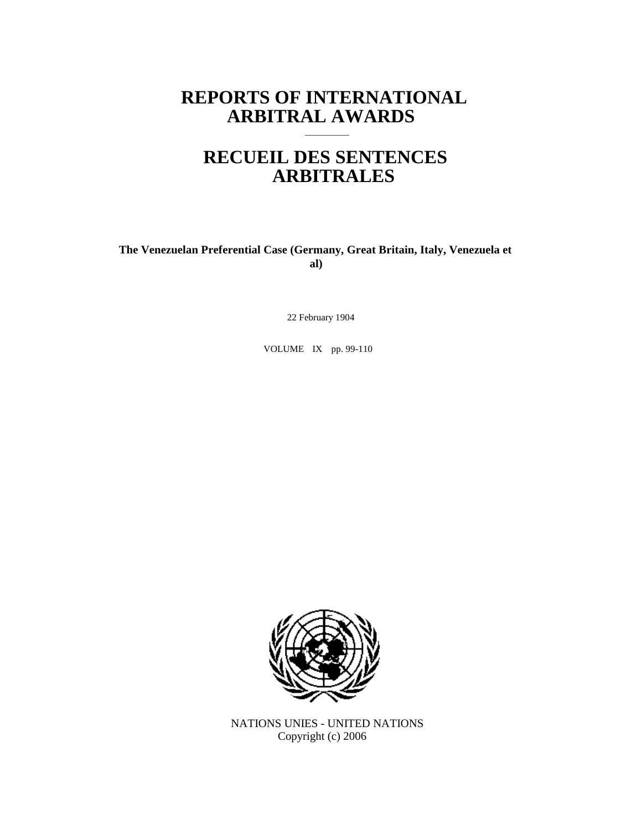# **REPORTS OF INTERNATIONAL ARBITRAL AWARDS**

# **RECUEIL DES SENTENCES ARBITRALES**

**The Venezuelan Preferential Case (Germany, Great Britain, Italy, Venezuela et al)**

22 February 1904

VOLUME IX pp. 99-110



NATIONS UNIES - UNITED NATIONS Copyright (c) 2006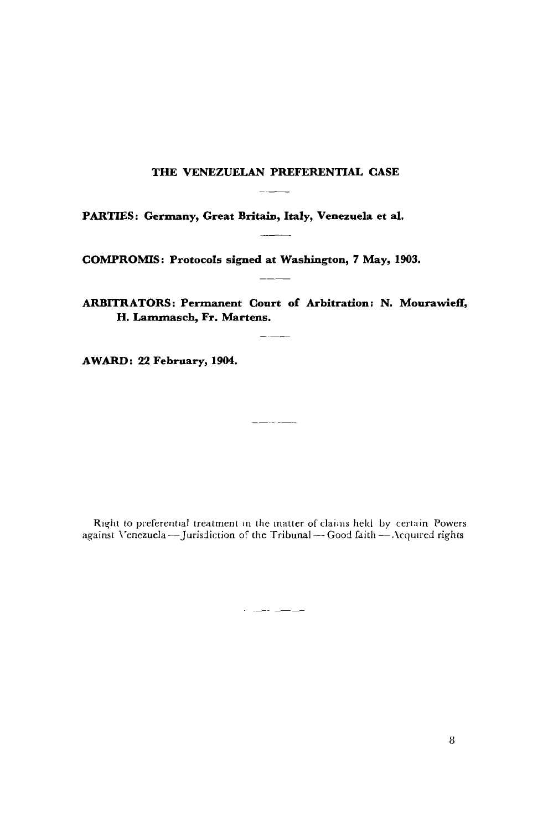# THE VENEZUELAN PREFERENTIAL CASE

**PARTIES: Germany, Great Britain, Italy, Venezuela et al.**

**COMPROMIS: Protocols signed at Washington, 7 May, 1903.**

**ARBITRATORS: Permanent Court of Arbitration: N. MourawiefF, H. Lammasch, Fr. Martens.**  $\overline{\phantom{a}}$ 

**AWARD: 22 February, 1904.**

Right to pieferential treatment in the matter of claims held by certain Powers against Venezuela—Jurisdiction of the Tribunal — Good faith — Acquired rights

 $\frac{1}{1-\frac{1}{2}}\left( \frac{1}{1-\frac{1}{2}}\right) \left( \frac{1}{1-\frac{1}{2}}\right) \left( \frac{1}{1-\frac{1}{2}}\right) \left( \frac{1}{1-\frac{1}{2}}\right) \left( \frac{1}{1-\frac{1}{2}}\right) \left( \frac{1}{1-\frac{1}{2}}\right) \left( \frac{1}{1-\frac{1}{2}}\right) \left( \frac{1}{1-\frac{1}{2}}\right) \left( \frac{1}{1-\frac{1}{2}}\right) \left( \frac{1}{1-\frac{1}{2}}\right) \left( \frac{1}{1-\frac{1}{2}}\$ 

سياسيا بيناء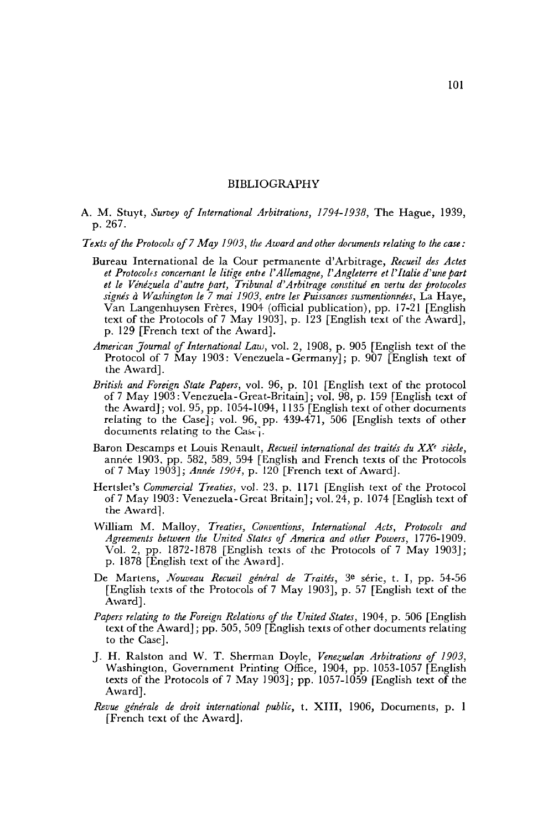### BIBLIOGRAPHY

A. M. Stuyt, *Survey of International Arbitrations, 1794-1938,* The Hague, 1939, p. 267.

*Texts of the Protocols of 7 May 1903, the, Award and other documents relating to the case:*

- Bureau International de la Cour permanente d'Arbitrage, *Recueil des Actes et Protocoles concernant le litige entre l'Allemagne, l'Angleterre et l'Italie d'une part et le Venezuela d'autre part, Tribunal d'Arbitrage constitué en vertu des protocoles signés à Washington le 7 mai 1903, entre les Puissances susmentionnées,* La Haye, Van Langenhuysen Frères, 1904 (officiai publication), pp. 17-21 [English text of the Protocols of 7 May 1903], p. 123 [English text of the Award], p. 129 [French text of the Award].
- *American Journal of International Law,* vol. 2, 1908, p. 905 [English text of the Protocol of 7 May 1903: Venezuela - Germany] ; p. 907 [English text of the Award].
- *British and Foreign State Papers,* vol. 96, p. 101 [English text of the protocol of 7 May 1903: Venezuela-Great-Britain] ; vol. 98, p. 159 [English text of the Award] ; vol. 95, pp. 1054-1094, 1135 [English text of other documents relating to the Case]; vol. 96, pp. 439-471, 506 [English texts of other documents relating to the Case].
- Baron Descamps et Louis Renault, *Recueil international des traités du XX' siècle,* année 1903, pp. 582, 589, 594 [English and French texts of the Protocols of 7 May 1903]; *Année 1904,* p. 120 [French text of Award].
- Hertslet's *Commercial Treaties,* vol. 23, p. 1171 [English text of the Protocol of 7 May 1903: Venezuela-Great Britain]; vol.24, p. 1074 [English text of the Award].
- William M. Malloy, *Treaties, Conventions, International Acts, Protocols and Agreements between the United States of America and other Powers,* 1776-1909. Vol. 2, pp. 1872-1878 [English texts of the Protocols of 7 May 1903]; p. 1878 [English text of the Award].
- De Martens, *Nouveau Recueil général de Traités,* 3<sup>e</sup> série, t. I, pp. 54-56 [English texts of the Protocols of 7 May 1903], p. 57 [English text of the Award].
- *Papers relating to the Foreign Relations of the United States,* 1904, p. 506 [English text of the Award] ; pp. 505, 509 [English texts of other documents relating to the Case].
- J. H. Ralston and W. T. Sherman Doyle, *Venezuelan Arbitrations of 1903,* Washington, Government Printing Office, 1904, pp. 1053-1057 [English texts of the Protocols of 7 May 1903]; pp. 1057-1059 [English text of the Award].
- *Revue générale de droit international public,* t. XIII, 1906, Documents, p. 1 [French text of the Award].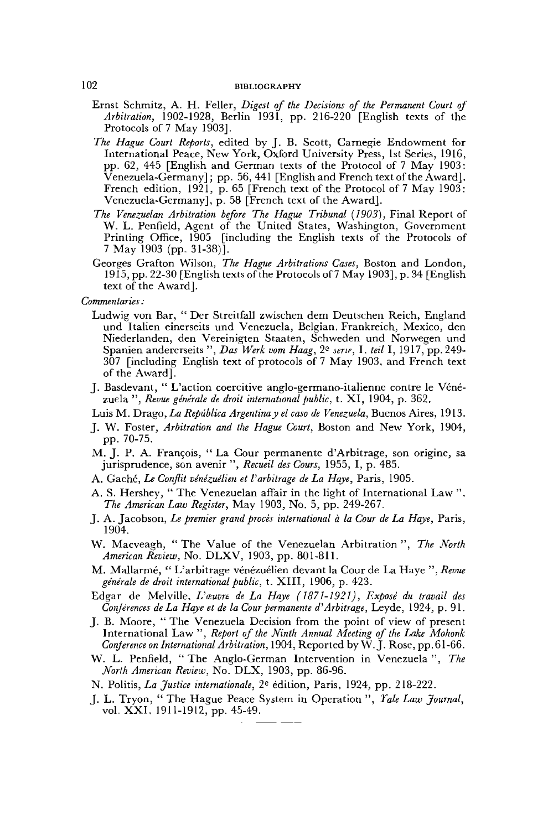# 102 BIBLIOGRAPHY

- Ernst Schmitz, A. H. Feller, *Digest of the Decisions of the Permanent Court of Arbitration,* 1902-1928, Berlin 1931, pp. 216-220 [English texts of the Protocols of 7 May 1903].
- *The Hague Court Reports,* edited by J. B. Scott, Carnegie Endowment for International Peace, New York, Oxford University Press, 1st Series, 1916, pp. G2, 445 [English and German texts of the Protocol of 7 May 1903: Venezuela-Germany]; pp. 56,441 [English and French text of the Award]. French edition, 1921, p. 65 [French text of the Protocol of 7 May 1903: Venezuela-Germany], p. 58 [French text of the Award].
- *The Venezuelan Arbitration before The Hague Tribunal (1903),* Final Report of W. L. Penfield, Agent of the United States, Washington, Government Printing Office, 1905 [including the English texts of the Protocols of 7 May 1903 (pp. 31-38)].
- Georges Grafton Wilson, *The Hague Arbitrations Cases,* Boston and London, 1915, pp. 22-30 [English texts of the Protocols of 7 May 1903], p. 34 [English text of the Award].

*Commentaries :*

- Ludwig von Bar, " Der Streitfall zwischen dem Deutschen Reich, England und Italien einerseits und Venezuela, Belgian. Frankreich, Mexico, den Niederlanden, den Vereinigten Staaten, Schweden und Norwegen und Spanien andererseits ", *Das Werk vom Haag,* 2<sup>e</sup>  *série,* I. *teil* I, 1917, pp. 249- 307 [including English text of protocols of 7 May 1903, and French text of the Award].
- J. Basdevant, " L'action coercitive anglo-germano-italienne contre le Venezuela ", *Revue générale de droit international public,* t. XI, 1904, p. 362.
- Luis M. Drago, *La Repûblica Argentinay el caso de Venezuela,* Buenos Aires, 1913.
- J. W. Foster, *Arbitration and the Hague Court,* Boston and New York, 1904, pp. 70-75.
- M. J. P. A. François, " La Cour permanente d'Arbitrage, son origine, sa jurisprudence, son avenir ", *Recueil des Cours,* 1955, I, p. 485.
- A. Gâché, *Le Conflit vénézuélien et l'arbitrage de La Haye,* Paris, 1905.
- A. S. Hershey, " The Venezuelan affair in the light of International Law ". *The American Law Register,* May 1903, No. 5, pp. 249-267.
- J. A. Jacobson, *Le premier grand procès international à la Cour de La Haye,* Paris, 1904.
- W. Macveagh, " The Value of the Venezuelan Arbitration ", *The North American Review,* No. DLXV, 1903, pp. 801-811.
- M. Mallarmé, " L'arbitrage vénézuélien devant la Cour de La Haye ". *Revue générale de droit international public,* t. XIII, 1906, p. 423.
- Edgar de Melville, *L'œuvre de La Haye ( 1871-1921), Exposé du travail des Conjérences de La Haye et de la Cour permanente d'Arbitrage,* Leyde, 1924, p. 91.
- J. B. Moore, " The Venezuela Decision from the point of view of present International Law ", *Report of the Ninth Annual Meeting of the Lake Mohonk Conference on International Arbitration,* 1904, Reported by W. J. Rose, pp. 61-66.
- W. L. Penfield, " The Anglo-German Intervention in Venezuela ", *The North American Review,* No. DLX, 1903, pp. 86-96.
- N. Politis, *La Justice internationale,* 2<sup>e</sup> édition, Paris, 1924, pp. 218-222.
- J. L. Tryon, " The Hague Peace System in Operation ", *Tale Law Journal,* vol. XXI, 1911-1912, pp. 45-49.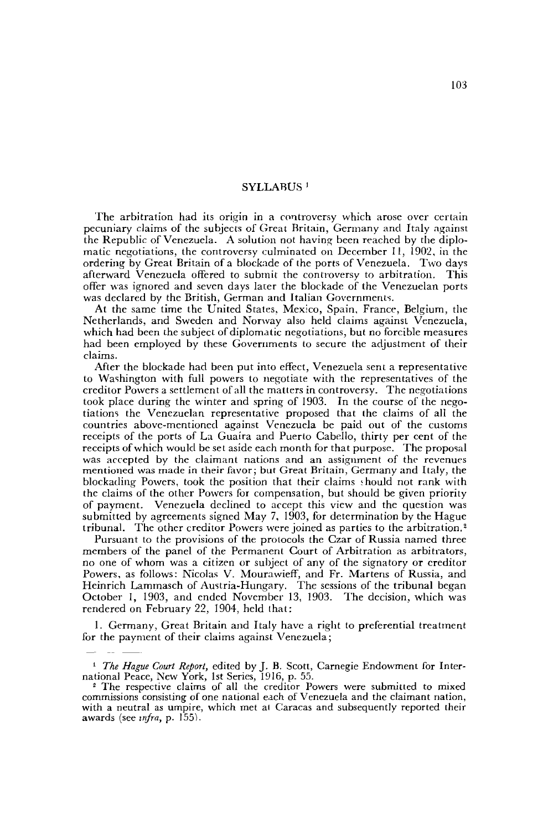#### SYLLABUS'

The arbitration had its origin in a controversy which arose over certain pecuniary claims of the subjects of Great Britain, Germany and Italy against the Republic of Venezuela. A solution not having been reached by the diplomatic negotiations, the controversy culminated on December II, 1902, in the ordering by Great Britain of a blockade of the ports of Venezuela. Two days afterward Venezuela offered to submit the controversy to arbitration. This offer was ignored and seven days later the blockade of the Venezuelan ports was declared by the British, German and Italian Governments.

At the same time the United States, Mexico, Spain, France, Belgium, the Netherlands, and Sweden and Norway also held claims against Venezuela, which had been the subject of diplomatic negotiations, but no forcible measures had been employed by these Governments to secure the adjustment of their claims.

After the blockade had been put into effect, Venezuela sent a representative to Washington with full powers to negotiate with the representatives of the creditor Powers a settlement of all the matters in controversy. The negotiations took place during the winter and spring of 1903. In the course of the negotiations the Venezuelan representative proposed that the claims of all the countries above-mentioned against Venezuela be paid out of the customs receipts of the ports of La Guaira and Puerto Cabello, thirty per cent of the  $\mathop{\mathrm{receipts}}$  of which would be set aside each month for that  $\mathop{\mathrm{purpose}}\nolimits^*$  . The proposal was accepted by the claimant nations and an assignment of the revenues mentioned was made in their favor; but Great Britain, Germany and Italy, the blockading Powers, took the position that their claims should not rank with the claims of the other Powers for compensation, but should be given priority of payment. Venezuela declined to accept this view and the question was submitted by agreements signed May 7, 1903, for determination by the Hague tribunal. The other creditor Powers were joined as parties to the arbitration.<sup>2</sup>

Pursuant to the provisions of the protocols the Czar of Russia named three members of the panel of the Permanent Court of Arbitration as arbitrators, no one of whom was a citizen or subject of any of the signatory or creditor Powers, as follows: Nicolas V. Mourawieff, and Fr. Martens of Russia, and Heinrich Lammasch of Austria-Hungary. The sessions of the tribunal began October 1, 1903, and ended November 13, 1903. The decision, which was rendered on February 22, 1904, held (hat:

1. Germany, Great Britain and Italy have a right to preferential treatment for the payment of their claims against Venezuela;

<sup>&</sup>lt;sup>1</sup> The Hague Court Report, edited by J. B. Scott, Carnegie Endowment for International Peace, New York, 1st Series, 1916, p. 55.

<sup>&</sup>lt;sup>2</sup> The respective claims of all the creditor Powers were submitted to mixed commissions consisting of one national each of Venezuela and the claimant nation, with a neutral as umpire, which met al Caracas and subsequently reported their awards (see *infra,* p. 155).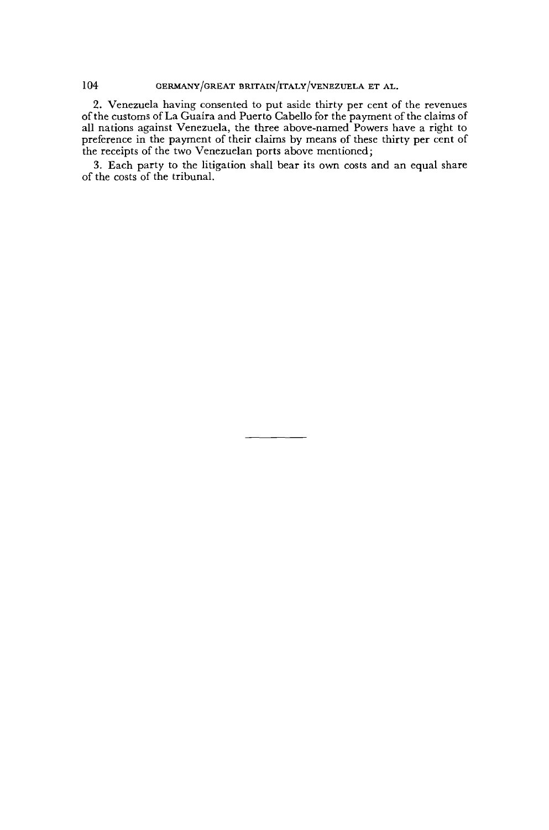# 104 GERMANY/GREAT BRITAIN/ITALY/VENEZUELA ET AL.

2. Venezuela having consented to put aside thirty per cent of the revenues of the customs of La Guaira and Puerto Cabello for the payment of the claims of all nations against Venezuela, the three above-named Powers have a right to preference in the payment of their claims by means of these thirty per cent of the receipts of the two Venezuelan ports above mentioned;

3. Each party to the litigation shall bear its own costs and an equal share of the costs of the tribunal.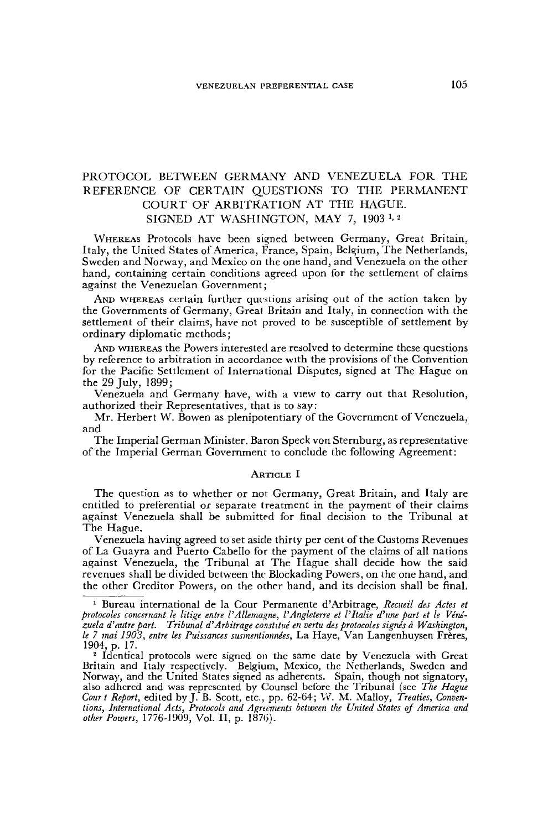# PROTOCOL BETWEEN GERMANY AND VENEZUELA FOR THE REFERENCE OF CERTAIN QUESTIONS TO THE PERMANENT COURT OF ARBITRATION AT THE HAGUE. SIGNED AT WASHINGTON, MAY 7, 1903<sup>1, 2</sup>

WHEREAS Protocols have been signed between Germany, Great Britain, Italy, the United States of America, France, Spain, Belgium, The Netherlands, Sweden and Norway, and Mexico on the one hand, and Venezuela on the other hand, containing certain conditions agreed upon for the settlement of claims against the Venezuelan Government;

AND WHEREAS certain further questions arising out of the action taken by the Governments of Germany, Greal Britain and Italy, in connection with the settlement of their claims, have not proved to be susceptible of settlement by ordinary diplomatic methods;

AND WHEREAS the Powers interested are resolved to determine these questions by reference to arbitration in accordance with the provisions of the Convention for the Pacific Settlement of International Disputes, signed at The Hague on the 29 July, 1899;

Venezuela and Germany have, with a view to carry out that Resolution, authorized their Representatives, that is to say:

Mr. Herbert W. Bowen as plenipotentiary of the Government of Venezuela, and

The Imperial German Minister. Baron Speck von Sternburg, as representative of the Imperial German Government to conclude the following Agreement:

#### ARTICLE I

The question as to whether or not Germany, Great Britain, and Italy are entitled to preferential or separate treatment in the payment of their claims against Venezuela shall be submitted for final decision to the Tribunal at The Hague.

Venezuela having agreed to set aside thirty per cent of the Customs Revenues of La Guayra and Puerto Cabello for the payment of the claims of all nations against Venezuela, the Tribunal at The Hague shall decide how the said revenues shall be divided between the Blockading Powers, on the one hand, and the other Creditor Powers, on the other hand, and its decision shall be final.

<sup>1</sup> Bureau international de la Cour Permanente d'Arbitrage, *Recueil des Actes et protocoles concernant le litige entre l'Allemagne, l'Angleterre et l'Italie d'une part et le Venezuela d'autre part. Tribunal d'Arbitrage constitué en vertu des protocoles signés à Washington, le 7 mai 1903, entre les Puissances susmentionnées,* La Haye, Van Langenhuysen Frères, 1904, p. 17.

<sup>&</sup>lt;sup>2</sup> Identical protocols were signed on the same date by Venezuela with Great Britain and Italy respectively. Belgium, Mexico, the Netherlands, Sweden and Norway, and the United States signed as adherents. Spain, though not signatory, also adhered and was represented by Counsel before the Tribunal (see *The Hague Court Report,* edited byj. B. Scott, etc., pp. 62-64; W. M. Malloy, *Treaties, Conventions, International Acts, Protocols and Agreements between the United States of America and other Powers,* 1776-1909, Vol. II, p. 1876).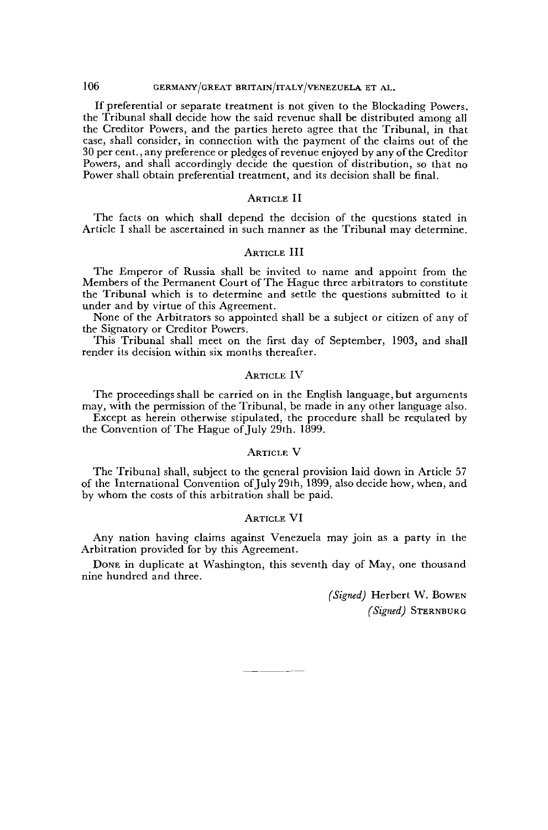# 106 GERMANY/GREAT BRITAIN/ITALY/VENEZUELA ET AL.

If preferential or separate treatment is not given to the Blockading Powers, the Tribunal shall decide how the said revenue shall be distributed among all the Creditor Powers, and the parties hereto agree that the Tribunal, in that case, shall consider, in connection with the payment of the claims out of the 30 per cent., any preference or pledges of revenue enjoyed by any of the Creditor Powers, and shall accordingly decide the question of distribution, so that no Power shall obtain preferential treatment, and its decision shall be final.

## ARTICLE II

The facts on which shall depend the decision of the questions stated in Article I shall be ascertained in such manner as the Tribunal may determine.

#### ARTICLE III

The Emperor of Russia shall be invited to name and appoint from the Members of the Permanent Court of The Hague three arbitrators to constitute the Tribunal which is to determine and settle the questions submitted to it under and by virtue of this Agreement.

None of the Arbitrators so appointed shall be a subject or citizen of any of the Signatory or Creditor Powers.

This Tribunal shall meet on the first day of September, 1903, and shall render its decision within six months thereafter.

#### ARTICLE IV

The proceedings shall be carried on in the English language, but arguments may, with the permission of the Tribunal, be made in any other language also.

Except as herein otherwise stipulated, the procedure shall be regulated by the Convention of The Hague of July 29th, 1899.

## ARTICLE V

The Tribunal shall, subject to the general provision laid down in Article 57 of the International Convention of July 29th, 1899, also decide how, when, and by whom the costs of this arbitration shall be paid.

#### ARTICLE VI

Any nation having claims against Venezuela may join as a party in the Arbitration provided for by this Agreement.

DONE in duplicate at Washington, this seventh day of May, one thousand nine hundred and three.

> *(Signed)* Herbert W. BOWEN *(Signed)* STERNBURG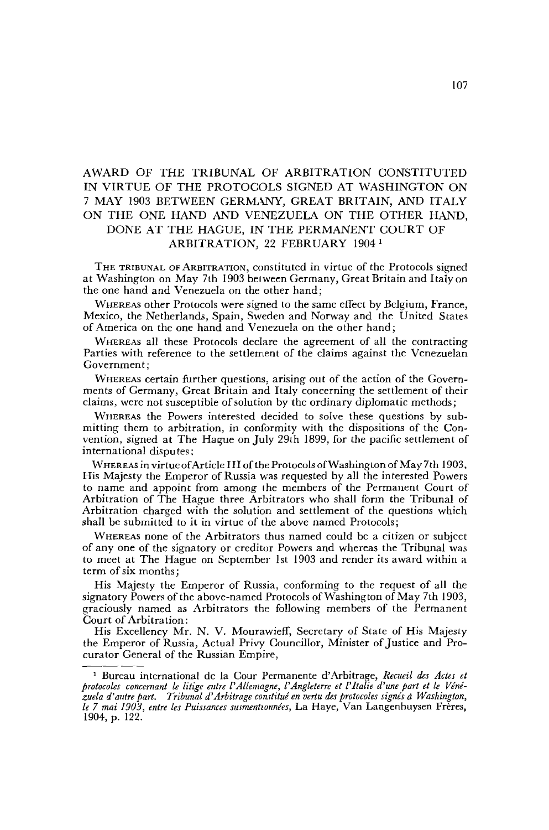# AWARD OF THE TRIBUNAL OF ARBITRATION CONSTITUTED IN VIRTUE OF THE PROTOCOLS SIGNED AT WASHINGTON ON 7 MAY 1903 BETWEEN GERMANY, GREAT BRITAIN, AND ITALY ON THE ONE HAND AND VENEZUELA ON THE OTHER HAND, DONE AT THE HAGUE, IN THE PERMANENT COURT OF ARBITRATION, 22 FEBRUARY 1904  *1*

THE TRIBUNAL OF ARBITRATION, constituted in virtue of the Protocols signed at Washington on May 7th 1903 bel ween Germany, Great Britain and Italy on the one hand and Venezuela on the other hand;

WHEREAS other Protocols were signed to the same effect by Belgium, France, Mexico, the Netherlands, Spain, Sweden and Norway and the United States of America on the one hand and Venezuela on the other hand;

WHEREAS all these Protocols declare the agreement of all the contracting Parties with reference to the settlement of the claims against the Venezuelan Government;

WHEREAS certain further questions, arising out of the action of the Governments of Germany, Great Britain and Italy concerning the settlement of their claims, were not susceptible of solution by the ordinary diplomatic methods;

WHEREAS the Powers interested decided to solve these questions by submitting them to arbitration, in conformity with the dispositions of the Convention, signed at The Hague on July 29th 1899, for the pacific settlement of international disputes;

WHEREAS in virtue of Article III of the Protocols of Washington of May 7th 1903, His Majesty the Emperor of Russia was requested by all the interested Powers to name and appoint from among ihe members of the Permanent Court of Arbitration of The Hague three Arbitrators who shall form the Tribunal of Arbitration charged with the solution and settlement of the questions which shall be submitted to it in virtue of the above named Protocols;

WHEREAS none of the Arbitrators thus named could be a citizen or subject of any one of the signatory or creditor Powers and whereas the Tribunal was to meet at The Hague on September 1st 1903 and render its award within a term of six months;

His Majesty the Emperor of Russia, conforming to the request of all the signatory Powers of the above-named Protocols of Washington of May 7th 1903, graciously named as Arbitrators the following members of the Permanent Court of Arbitration:

His Excellency Mr. N. V. Mourawieff, Secretary of State of His Majesty the Emperor of Russia, Actual Privy Councillor, Minister of Justice and Procurator General of the Russian Empire,

<sup>1</sup> Bureau international de la Cour Permanente d'Arbitrage, *Recueil des Actes et protocoles concernant le litige enlre VAllemagne, VAngleterre et l'Italie d'une part et le Venezuela d'autre part. Tribunal d'Arbitrage constitué en vertu des protocoles signés à Washington, le 7 mai 1903, entre les Puissances susmentionnées,* La Haye, Van Langenhuysen Frères, 1904, p. 122.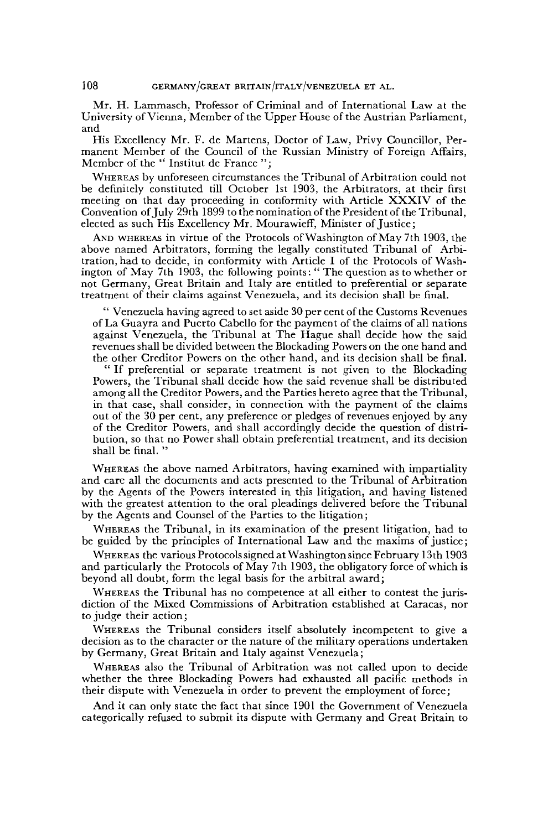Mr, H. Lammasch, Professor of Criminal and of International Law at the University of Vienna, Member of the Upper House of the Austrian Parliament, and

His Excellency Mr. F. de Martens, Doctor of Law, Privy Councillor, Permanent Member of the Council of the Russian Ministry of Foreign Affairs, Member of the " Institut de France":

WHEREAS by unforeseen circumstances the Tribunal of Arbitration could not be definitely constituted till October 1st 1903, the Arbitrators, at their first meeting on that day proceeding in conformity with Article XXXIV of the Convention of July 29th 1899 to the nomination of the President of the Tribunal, elected as such His Excellency Mr. Mourawieff, Minister of Justice;

AND WHEREAS in virtue of the Protocols ofWashington of May 7th 1903, the above named Arbitrators, forming the legally constituted Tribunal of Arbitration, had to decide, in conformity with Article I of the Protocols of Washington of May 7th 1903, the following points: " The question as to whether or not Germany, Great Britain and Italy are entitled to preferential or separate treatment of their claims against Venezuela, and its decision shall be final.

" Venezuela having agreed to set aside 30 per cent of the Customs Revenues of La Guayra and Puerto Cabello for the payment of the claims of all nations against Venezuela, the Tribunal at The Hague shall decide how the said revenues shall be divided between the Blockading Powers on the one hand and the other Creditor Powers on the other hand, and its decision shall be final.

" If preferential or separate treatment is not given to the Blockading Powers, the Tribunal shall decide how the said revenue shall be distributed among all the Creditor Powers, and the Parties hereto agree that the Tribunal, in that case, shall consider, in connection with the payment of the claims out of the 30 per cent, any preference or pledges of revenues enjoyed by any of the Creditor Powers, and shall accordingly decide the question of distribution, so that no Power shall obtain preferential treatment, and its decision shall be final."

WHEREAS the above named Arbitrators, having examined with impartiality and care all the documents and acts presented to the Tribunal of Arbitration by the Agents of the Powers interested in this litigation, and having listened with the greatest attention to the oral pleadings delivered before the Tribunal by the Agents and Counsel of the Parties to the litigation;

WHEREAS the Tribunal, in its examination of the present litigation, had to be guided by the principles of International Law and the maxims of justice;

WHEREAS the various Protocols signed at Washington since February 13th 1903 and particularly the Protocols of May 7th 1903, the obligatory force of which is beyond all doubt, form the legal basis for the arbitral award ;

WHEREAS the Tribunal has no competence at all either to contest the jurisdiction of the Mixed Commissions of Arbitration established at Caracas, nor to judge their action;

WHEREAS the Tribunal considers itself absolutely incompetent to give a decision as to the character or the nature of the military operations undertaken by Germany, Great Britain and Italy against Venezuela;

WHEREAS also the Tribunal of Arbitration was not called upon to decide whether the three Blockading Powers had exhausted all pacific methods in their dispute with Venezuela in order to prevent the employment of force ;

And it can only state the fact that since 1901 the Government of Venezuela categorically refused to submit its dispute with Germany and Great Britain to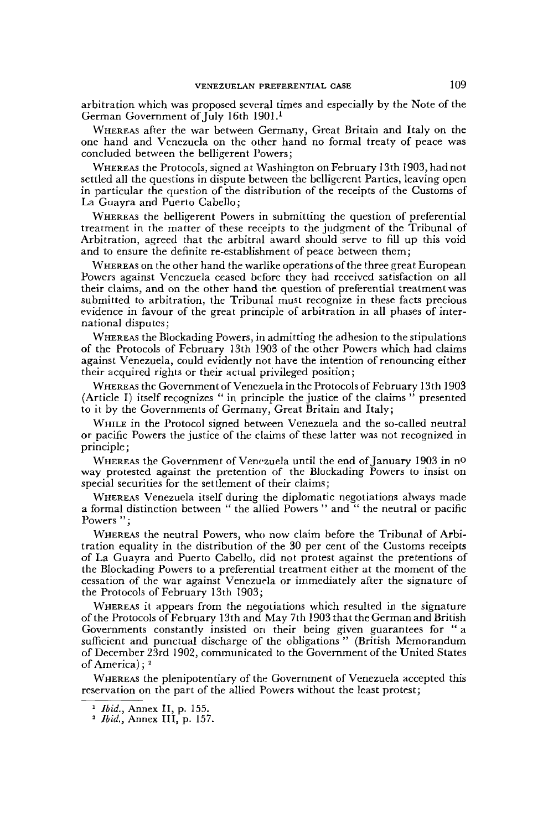arbitration which was proposed several times and especially by the Note of the German Government of July 16th 1901.<sup>1</sup>

WHEREAS after the war between Germany, Great Britain and Italy on the one hand and Venezuela on the other hand no formal treaty of peace was concluded between the belligerent Powers;

WHEREAS the Protocols, signed at Washington on February 13th 1903, had not settled all the questions in dispute between the belligerent Parties, leaving open in particular the question of the distribution of the receipts of the Customs of La Guayra and Puerto Cabello;

WHEREAS the belligerent Powers in submitting the question of preferential treatment in the matter of these receipts to the judgment of the Tribunal of Arbitration, agreed that the arbitnil award should serve to fill up this void and to ensure the definite re-establishment of peace between them;

WHEREAS on the other hand the warlike operations of the three great European Powers against Venezuela ceased before they had received satisfaction on all their claims, and on the other hand the question of preferential treatment was submitted to arbitration, the Tribunal must recognize in these facts precious evidence in favour of the great principle of arbitration in all phases of international disputes;

WHEREAS the Blockading Powers, in admitting the adhesion to the stipulations of the Protocols of February 13th 1903 of the other Powers which had claims against Venezuela, could evidently not have the intention of renouncing either their acquired rights or their actual privileged position;

WHEREAS the Government of Venezuela in the Protocols of February 13 th 1903 (Article I) itself recognizes " in principle the justice of the claims  $\frac{1}{2}$  presented to it by the Governments of Germany, Great Britain and Italy;

WHILE in the Protocol signed between Venezuela and the so-called neutral or pacific Powers the justice of the claims of these latter was not recognized in principle ;

WHEREAS the Government of Venezuela until the end of January 1903 in no way protested against the pretention of the Blockading Powers to insist on special securities for the settlement of their claims;

WHEREAS Venezuela itself during the diplomatic negotiations always made a formal distinction between " the allied Powers " and " the neutral or pacific Powers ":

WHEREAS the neutral Powers, who now claim before the Tribunal of Arbitration equality in the distribution of the 30 per cent of the Customs receipts of La Guayra and Puerto Cabello, did not protest against the pretentions of the Blockading Powers to a preferential treatment either at the moment of the cessation of the war against Venezuela or immediately after the signature of the Protocols of February 13th 1903;

WHEREAS it appears from the negotiations which resulted in the signature of the Protocols of February 13th and May 7th 1903 that the German and British Governments constantly insisted on their being given guarantees for " a sufficient and punctual discharge of the obligations" (British Memorandum of December 23rd 1902, communicated to the Government of the United States of America); <sup>2</sup>

WHEREAS the plenipotentiary of the Government of Venezuela accepted this reservation on the part of the allied Powers without the least protest;

<sup>1</sup>  *Ibid.,* Annex II, p. 155. 2  *Ibid.,* Annex III, p. 157.